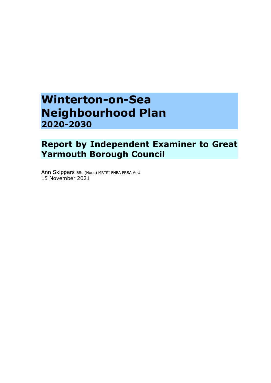# **Winterton-on-Sea Neighbourhood Plan 2020-2030**

## **Report by Independent Examiner to Great Yarmouth Borough Council**

Ann Skippers BSc (Hons) MRTPI FHEA FRSA AoU 15 November 2021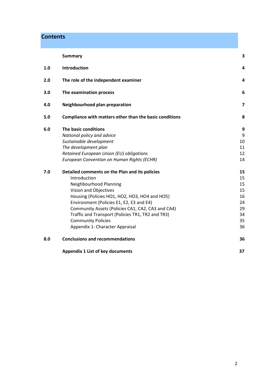## **Contents**

|     | <b>Summary</b>                                          | 3  |
|-----|---------------------------------------------------------|----|
| 1.0 | Introduction                                            | 4  |
| 2.0 | The role of the independent examiner                    | 4  |
| 3.0 | The examination process                                 | 6  |
| 4.0 | Neighbourhood plan preparation                          | 7  |
| 5.0 | Compliance with matters other than the basic conditions | 8  |
| 6.0 | The basic conditions                                    | 9  |
|     | National policy and advice                              | 9  |
|     | Sustainable development                                 | 10 |
|     | The development plan                                    | 11 |
|     | Retained European Union (EU) obligations                | 12 |
|     | European Convention on Human Rights (ECHR)              | 14 |
| 7.0 | Detailed comments on the Plan and its policies          | 15 |
|     | Introduction                                            | 15 |
|     | Neighbourhood Planning                                  | 15 |
|     | Vision and Objectives                                   | 15 |
|     | Housing (Policies HO1, HO2, HO3, HO4 and HO5)           | 16 |
|     | Environment (Policies E1, E2, E3 and E4)                | 24 |
|     | Community Assets (Policies CA1, CA2, CA3 and CA4)       | 29 |
|     | Traffic and Transport (Policies TR1, TR2 and TR3)       | 34 |
|     | <b>Community Policies</b>                               | 35 |
|     | Appendix 1: Character Appraisal                         | 36 |
| 8.0 | <b>Conclusions and recommendations</b>                  | 36 |
|     | <b>Appendix 1 List of key documents</b>                 | 37 |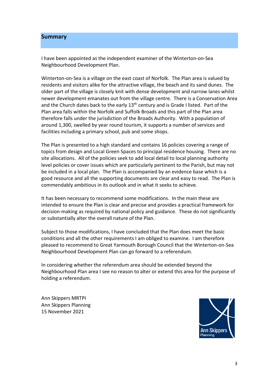#### **Summary**

I have been appointed as the independent examiner of the Winterton-on-Sea Neighbourhood Development Plan.

Winterton-on-Sea is a village on the east coast of Norfolk. The Plan area is valued by residents and visitors alike for the attractive village, the beach and its sand dunes. The older part of the village is closely knit with dense development and narrow lanes whilst newer development emanates out from the village centre. There is a Conservation Area and the Church dates back to the early  $13<sup>th</sup>$  century and is Grade I listed. Part of the Plan area falls within the Norfolk and Suffolk Broads and this part of the Plan area therefore falls under the jurisdiction of the Broads Authority. With a population of around 1,300, swelled by year round tourism, it supports a number of services and facilities including a primary school, pub and some shops.

The Plan is presented to a high standard and contains 16 policies covering a range of topics from design and Local Green Spaces to principal residence housing. There are no site allocations. All of the policies seek to add local detail to local planning authority level policies or cover issues which are particularly pertinent to the Parish, but may not be included in a local plan. The Plan is accompanied by an evidence base which is a good resource and all the supporting documents are clear and easy to read. The Plan is commendably ambitious in its outlook and in what it seeks to achieve.

It has been necessary to recommend some modifications. In the main these are intended to ensure the Plan is clear and precise and provides a practical framework for decision-making as required by national policy and guidance. These do not significantly or substantially alter the overall nature of the Plan.

Subject to those modifications, I have concluded that the Plan does meet the basic conditions and all the other requirements I am obliged to examine. I am therefore pleased to recommend to Great Yarmouth Borough Council that the Winterton-on-Sea Neighbourhood Development Plan can go forward to a referendum.

In considering whether the referendum area should be extended beyond the Neighbourhood Plan area I see no reason to alter or extend this area for the purpose of holding a referendum.

Ann Skippers MRTPI Ann Skippers Planning 15 November 2021

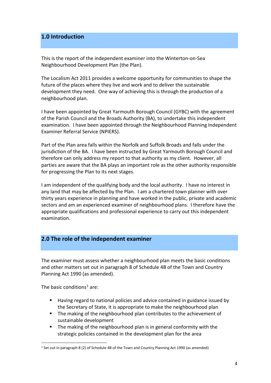## **1.0 Introduction**

This is the report of the independent examiner into the Winterton-on-Sea Neighbourhood Development Plan (the Plan).

The Localism Act 2011 provides a welcome opportunity for communities to shape the future of the places where they live and work and to deliver the sustainable development they need. One way of achieving this is through the production of a neighbourhood plan.

I have been appointed by Great Yarmouth Borough Council (GYBC) with the agreement of the Parish Council and the Broads Authority (BA), to undertake this independent examination. I have been appointed through the Neighbourhood Planning Independent Examiner Referral Service (NPIERS).

Part of the Plan area falls within the Norfolk and Suffolk Broads and falls under the jurisdiction of the BA. I have been instructed by Great Yarmouth Borough Council and therefore can only address my report to that authority as my client. However, all parties are aware that the BA plays an important role as the other authority responsible for progressing the Plan to its next stages.

I am independent of the qualifying body and the local authority. I have no interest in any land that may be affected by the Plan. I am a chartered town planner with over thirty years experience in planning and have worked in the public, private and academic sectors and am an experienced examiner of neighbourhood plans. I therefore have the appropriate qualifications and professional experience to carry out this independent examination.

## **2.0 The role of the independent examiner**

The examiner must assess whether a neighbourhood plan meets the basic conditions and other matters set out in paragraph 8 of Schedule 4B of the Town and Country Planning Act 1990 (as amended).

The basic conditions<sup>[1](#page-3-0)</sup> are:

- Having regard to national policies and advice contained in guidance issued by the Secretary of State, it is appropriate to make the neighbourhood plan
- **The making of the neighbourhood plan contributes to the achievement of** sustainable development
- The making of the neighbourhood plan is in general conformity with the strategic policies contained in the development plan for the area

<span id="page-3-0"></span><sup>1</sup> Set out in paragraph 8 (2) of Schedule 4B of the Town and Country Planning Act 1990 (as amended)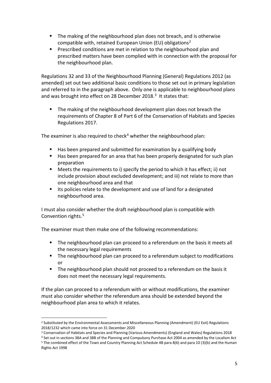- **The making of the neighbourhood plan does not breach, and is otherwise** compatible with, retained European Union (EU) obligations<sup>[2](#page-4-0)</sup>
- Prescribed conditions are met in relation to the neighbourhood plan and prescribed matters have been complied with in connection with the proposal for the neighbourhood plan.

Regulations 32 and 33 of the Neighbourhood Planning (General) Regulations 2012 (as amended) set out two additional basic conditions to those set out in primary legislation and referred to in the paragraph above. Only one is applicable to neighbourhood plans and was brought into effect on 28 December 2018. $3$  It states that:

 The making of the neighbourhood development plan does not breach the requirements of Chapter 8 of Part 6 of the Conservation of Habitats and Species Regulations 2017.

The examiner is also required to check<sup>[4](#page-4-2)</sup> whether the neighbourhood plan:

- Has been prepared and submitted for examination by a qualifying body
- Has been prepared for an area that has been properly designated for such plan preparation
- Meets the requirements to i) specify the period to which it has effect; ii) not include provision about excluded development; and iii) not relate to more than one neighbourhood area and that
- **If Luma** Its policies relate to the development and use of land for a designated neighbourhood area.

I must also consider whether the draft neighbourhood plan is compatible with Convention rights.<sup>5</sup>

The examiner must then make one of the following recommendations:

- The neighbourhood plan can proceed to a referendum on the basis it meets all the necessary legal requirements
- **The neighbourhood plan can proceed to a referendum subject to modifications** or
- **The neighbourhood plan should not proceed to a referendum on the basis it** does not meet the necessary legal requirements.

If the plan can proceed to a referendum with or without modifications, the examiner must also consider whether the referendum area should be extended beyond the neighbourhood plan area to which it relates.

<span id="page-4-0"></span><sup>2</sup> Substituted by the Environmental Assessments and Miscellaneous Planning (Amendment) (EU Exit) Regulations 2018/1232 which came into force on 31 December 2020

<span id="page-4-1"></span><sup>3</sup> Conservation of Habitats and Species and Planning (Various Amendments) (England and Wales) Regulations 2018

<span id="page-4-3"></span><span id="page-4-2"></span><sup>4</sup> Set out in sections 38A and 38B of the Planning and Compulsory Purchase Act 2004 as amended by the Localism Act <sup>5</sup> The combined effect of the Town and Country Planning Act Schedule 4B para 8(6) and para 10 (3)(b) and the Human Rights Act 1998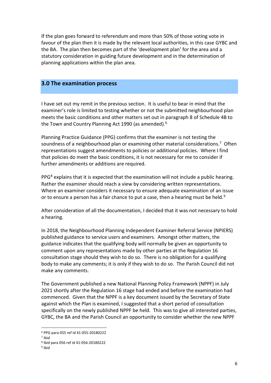If the plan goes forward to referendum and more than 50% of those voting vote in favour of the plan then it is made by the relevant local authorities, in this case GYBC and the BA. The plan then becomes part of the 'development plan' for the area and a statutory consideration in guiding future development and in the determination of planning applications within the plan area.

#### **3.0 The examination process**

I have set out my remit in the previous section. It is useful to bear in mind that the examiner's role is limited to testing whether or not the submitted neighbourhood plan meets the basic conditions and other matters set out in paragraph 8 of Schedule 4B to the Town and Country Planning Act 1990 (as amended).<sup>6</sup>

Planning Practice Guidance (PPG) confirms that the examiner is not testing the soundness of a neighbourhood plan or examining other material considerations.<sup>[7](#page-5-1)</sup> Often representations suggest amendments to policies or additional policies. Where I find that policies do meet the basic conditions, it is not necessary for me to consider if further amendments or additions are required.

 $PPG<sup>8</sup>$  $PPG<sup>8</sup>$  $PPG<sup>8</sup>$  explains that it is expected that the examination will not include a public hearing. Rather the examiner should reach a view by considering written representations. Where an examiner considers it necessary to ensure adequate examination of an issue or to ensure a person has a fair chance to put a case, then a hearing must be held.<sup>[9](#page-5-3)</sup>

After consideration of all the documentation, I decided that it was not necessary to hold a hearing.

In 2018, the Neighbourhood Planning Independent Examiner Referral Service (NPIERS) published guidance to service users and examiners. Amongst other matters, the guidance indicates that the qualifying body will normally be given an opportunity to comment upon any representations made by other parties at the Regulation 16 consultation stage should they wish to do so. There is no obligation for a qualifying body to make any comments; it is only if they wish to do so. The Parish Council did not make any comments.

The Government published a new National Planning Policy Framework (NPPF) in July 2021 shortly after the Regulation 16 stage had ended and before the examination had commenced. Given that the NPPF is a key document issued by the Secretary of State against which the Plan is examined, I suggested that a short period of consultation specifically on the newly published NPPF be held. This was to give all interested parties, GYBC, the BA and the Parish Council an opportunity to consider whether the new NPPF

 $6$  PPG para 055 ref id 41-055-20180222<br>
<sup>7</sup> Ibid

<span id="page-5-2"></span><span id="page-5-1"></span><span id="page-5-0"></span>

 $8$  Ibid para 056 ref id 41-056-20180222<br> $9$  Ibid

<span id="page-5-3"></span>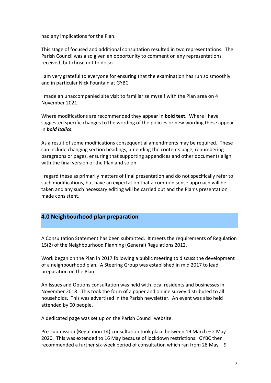had any implications for the Plan.

This stage of focused and additional consultation resulted in two representations. The Parish Council was also given an opportunity to comment on any representations received, but chose not to do so.

I am very grateful to everyone for ensuring that the examination has run so smoothly and in particular Nick Fountain at GYBC.

I made an unaccompanied site visit to familiarise myself with the Plan area on 4 November 2021.

Where modifications are recommended they appear in **bold text**. Where I have suggested specific changes to the wording of the policies or new wording these appear in *bold italics*.

As a result of some modifications consequential amendments may be required. These can include changing section headings, amending the contents page, renumbering paragraphs or pages, ensuring that supporting appendices and other documents align with the final version of the Plan and so on.

I regard these as primarily matters of final presentation and do not specifically refer to such modifications, but have an expectation that a common sense approach will be taken and any such necessary editing will be carried out and the Plan's presentation made consistent.

## **4.0 Neighbourhood plan preparation**

A Consultation Statement has been submitted. It meets the requirements of Regulation 15(2) of the Neighbourhood Planning (General) Regulations 2012.

Work began on the Plan in 2017 following a public meeting to discuss the development of a neighbourhood plan. A Steering Group was established in mid 2017 to lead preparation on the Plan.

An Issues and Options consultation was held with local residents and businesses in November 2018. This took the form of a paper and online survey distributed to all households. This was advertised in the Parish newsletter. An event was also held attended by 60 people.

A dedicated page was set up on the Parish Council website.

Pre-submission (Regulation 14) consultation took place between 19 March – 2 May 2020. This was extended to 16 May because of lockdown restrictions. GYBC then recommended a further six-week period of consultation which ran from 28 May – 9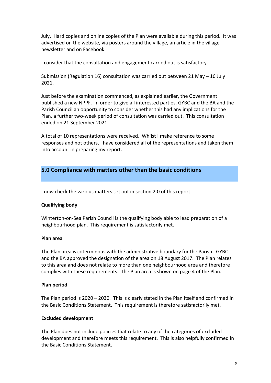July. Hard copies and online copies of the Plan were available during this period. It was advertised on the website, via posters around the village, an article in the village newsletter and on Facebook.

I consider that the consultation and engagement carried out is satisfactory.

Submission (Regulation 16) consultation was carried out between 21 May – 16 July 2021.

Just before the examination commenced, as explained earlier, the Government published a new NPPF. In order to give all interested parties, GYBC and the BA and the Parish Council an opportunity to consider whether this had any implications for the Plan, a further two-week period of consultation was carried out. This consultation ended on 21 September 2021.

A total of 10 representations were received. Whilst I make reference to some responses and not others, I have considered all of the representations and taken them into account in preparing my report.

## **5.0 Compliance with matters other than the basic conditions**

I now check the various matters set out in section 2.0 of this report.

#### **Qualifying body**

Winterton-on-Sea Parish Council is the qualifying body able to lead preparation of a neighbourhood plan. This requirement is satisfactorily met.

#### **Plan area**

The Plan area is coterminous with the administrative boundary for the Parish. GYBC and the BA approved the designation of the area on 18 August 2017. The Plan relates to this area and does not relate to more than one neighbourhood area and therefore complies with these requirements. The Plan area is shown on page 4 of the Plan.

#### **Plan period**

The Plan period is 2020 – 2030. This is clearly stated in the Plan itself and confirmed in the Basic Conditions Statement. This requirement is therefore satisfactorily met.

#### **Excluded development**

The Plan does not include policies that relate to any of the categories of excluded development and therefore meets this requirement. This is also helpfully confirmed in the Basic Conditions Statement.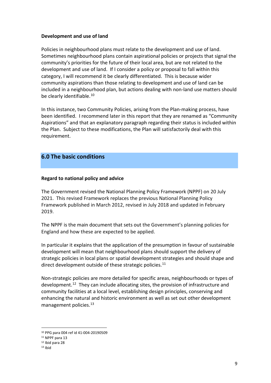#### **Development and use of land**

Policies in neighbourhood plans must relate to the development and use of land. Sometimes neighbourhood plans contain aspirational policies or projects that signal the community's priorities for the future of their local area, but are not related to the development and use of land. If I consider a policy or proposal to fall within this category, I will recommend it be clearly differentiated. This is because wider community aspirations than those relating to development and use of land can be included in a neighbourhood plan, but actions dealing with non-land use matters should be clearly identifiable.<sup>[10](#page-8-0)</sup>

In this instance, two Community Policies, arising from the Plan-making process, have been identified. I recommend later in this report that they are renamed as "Community Aspirations" and that an explanatory paragraph regarding their status is included within the Plan. Subject to these modifications, the Plan will satisfactorily deal with this requirement.

## **6.0 The basic conditions**

#### **Regard to national policy and advice**

The Government revised the National Planning Policy Framework (NPPF) on 20 July 2021. This revised Framework replaces the previous National Planning Policy Framework published in March 2012, revised in July 2018 and updated in February 2019.

The NPPF is the main document that sets out the Government's planning policies for England and how these are expected to be applied.

In particular it explains that the application of the presumption in favour of sustainable development will mean that neighbourhood plans should support the delivery of strategic policies in local plans or spatial development strategies and should shape and direct development outside of these strategic policies.<sup>[11](#page-8-1)</sup>

Non-strategic policies are more detailed for specific areas, neighbourhoods or types of development.<sup>[12](#page-8-2)</sup> They can include allocating sites, the provision of infrastructure and community facilities at a local level, establishing design principles, conserving and enhancing the natural and historic environment as well as set out other development management policies.<sup>13</sup>

<span id="page-8-0"></span><sup>10</sup> PPG para 004 ref id 41-004-20190509 11 NPPF para 13

<span id="page-8-2"></span><span id="page-8-1"></span><sup>12</sup> Ibid para 28

<span id="page-8-3"></span> $13$  Ibid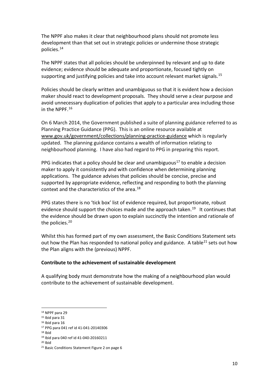The NPPF also makes it clear that neighbourhood plans should not promote less development than that set out in strategic policies or undermine those strategic policies.[14](#page-9-0)

The NPPF states that all policies should be underpinned by relevant and up to date evidence; evidence should be adequate and proportionate, focused tightly on supporting and justifying policies and take into account relevant market signals.<sup>[15](#page-9-1)</sup>

Policies should be clearly written and unambiguous so that it is evident how a decision maker should react to development proposals. They should serve a clear purpose and avoid unnecessary duplication of policies that apply to a particular area including those in the NPPF.<sup>[16](#page-9-2)</sup>

On 6 March 2014, the Government published a suite of planning guidance referred to as Planning Practice Guidance (PPG). This is an online resource available at [www.gov.uk/government/collections/planning-practice-guidance](http://www.gov.uk/government/collections/planning-practice-guidance) which is regularly updated. The planning guidance contains a wealth of information relating to neighbourhood planning. I have also had regard to PPG in preparing this report.

PPG indicates that a policy should be clear and unambiguous<sup>[17](#page-9-3)</sup> to enable a decision maker to apply it consistently and with confidence when determining planning applications. The guidance advises that policies should be concise, precise and supported by appropriate evidence, reflecting and responding to both the planning context and the characteristics of the area.<sup>[18](#page-9-4)</sup>

PPG states there is no 'tick box' list of evidence required, but proportionate, robust evidence should support the choices made and the approach taken.<sup>19</sup> It continues that the evidence should be drawn upon to explain succinctly the intention and rationale of the policies.<sup>[20](#page-9-6)</sup>

Whilst this has formed part of my own assessment, the Basic Conditions Statement sets out how the Plan has responded to national policy and guidance. A table  $21$  sets out how the Plan aligns with the (previous) NPPF.

#### **Contribute to the achievement of sustainable development**

A qualifying body must demonstrate how the making of a neighbourhood plan would contribute to the achievement of sustainable development.

<span id="page-9-0"></span><sup>14</sup> NPPF para 29

<span id="page-9-1"></span><sup>15</sup> Ibid para 31

<span id="page-9-2"></span><sup>16</sup> Ibid para 16

<span id="page-9-4"></span><span id="page-9-3"></span><sup>&</sup>lt;sup>17</sup> PPG para 041 ref id 41-041-20140306<br><sup>18</sup> Ibid

<span id="page-9-6"></span><span id="page-9-5"></span><sup>&</sup>lt;sup>19</sup> Ibid para 040 ref id 41-040-20160211<br><sup>20</sup> Ibid

<span id="page-9-7"></span><sup>21</sup> Basic Conditions Statement Figure 2 on page 6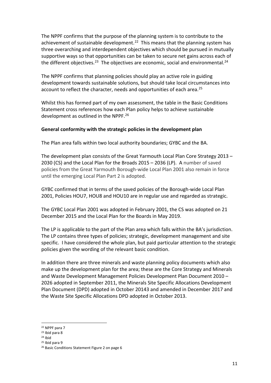The NPPF confirms that the purpose of the planning system is to contribute to the achievement of sustainable development.<sup>22</sup> This means that the planning system has three overarching and interdependent objectives which should be pursued in mutually supportive ways so that opportunities can be taken to secure net gains across each of the different objectives.<sup>[23](#page-10-1)</sup> The objectives are economic, social and environmental.<sup>[24](#page-10-2)</sup>

The NPPF confirms that planning policies should play an active role in guiding development towards sustainable solutions, but should take local circumstances into account to reflect the character, needs and opportunities of each area.<sup>25</sup>

Whilst this has formed part of my own assessment, the table in the Basic Conditions Statement cross references how each Plan policy helps to achieve sustainable development as outlined in the NPPF.[26](#page-10-4)

#### **General conformity with the strategic policies in the development plan**

The Plan area falls within two local authority boundaries; GYBC and the BA.

The development plan consists of the Great Yarmouth Local Plan Core Strategy 2013 – 2030 (CS) and the Local Plan for the Broads 2015 – 2036 (LP). A number of saved policies from the Great Yarmouth Borough-wide Local Plan 2001 also remain in force until the emerging Local Plan Part 2 is adopted.

GYBC confirmed that in terms of the saved policies of the Borough-wide Local Plan 2001, Policies HOU7, HOU8 and HOU10 are in regular use and regarded as strategic.

The GYBC Local Plan 2001 was adopted in February 2001, the CS was adopted on 21 December 2015 and the Local Plan for the Boards in May 2019.

The LP is applicable to the part of the Plan area which falls within the BA's jurisdiction. The LP contains three types of policies; strategic, development management and site specific. I have considered the whole plan, but paid particular attention to the strategic policies given the wording of the relevant basic condition.

In addition there are three minerals and waste planning policy documents which also make up the development plan for the area; these are the Core Strategy and Minerals and Waste Development Management Policies Development Plan Document 2010 – 2026 adopted in September 2011, the Minerals Site Specific Allocations Development Plan Document (DPD) adopted in October 20143 and amended in December 2017 and the Waste Site Specific Allocations DPD adopted in October 2013.

<sup>22</sup> NPPF para 7

<span id="page-10-1"></span><span id="page-10-0"></span><sup>23</sup> Ibid para 8

<span id="page-10-3"></span><span id="page-10-2"></span> $24$  Ibid

<sup>25</sup> Ibid para 9

<span id="page-10-4"></span><sup>&</sup>lt;sup>26</sup> Basic Conditions Statement Figure 2 on page 6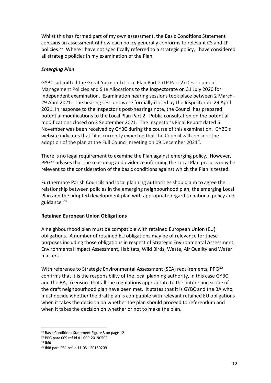Whilst this has formed part of my own assessment, the Basic Conditions Statement contains an assessment of how each policy generally conforms to relevant CS and LP policies.<sup>[27](#page-11-0)</sup> Where I have not specifically referred to a strategic policy, I have considered all strategic policies in my examination of the Plan.

### *Emerging Plan*

GYBC submitted the Great Yarmouth Local Plan Part 2 (LP Part 2) Development Management Policies and Site Allocations to the Inspectorate on 31 July 2020 for independent examination. Examination hearing sessions took place between 2 March - 29 April 2021. The hearing sessions were formally closed by the Inspector on 29 April 2021. In response to the Inspector's post-hearings note, the Council has prepared potential modifications to the Local Plan Part 2. Public consultation on the potential modifications closed on 3 September 2021. The Inspector's Final Report dated 5 November was been received by GYBC during the course of this examination. GYBC's website indicates that "it is currently expected that the Council will consider the adoption of the plan at the Full Council meeting on 09 December 2021".

There is no legal requirement to examine the Plan against emerging policy. However, PPG<sup>[28](#page-11-1)</sup> advises that the reasoning and evidence informing the Local Plan process may be relevant to the consideration of the basic conditions against which the Plan is tested.

Furthermore Parish Councils and local planning authorities should aim to agree the relationship between policies in the emerging neighbourhood plan, the emerging Local Plan and the adopted development plan with appropriate regard to national policy and guidance[.29](#page-11-2)

#### **Retained European Union Obligations**

A neighbourhood plan must be compatible with retained European Union (EU) obligations. A number of retained EU obligations may be of relevance for these purposes including those obligations in respect of Strategic Environmental Assessment, Environmental Impact Assessment, Habitats, Wild Birds, Waste, Air Quality and Water matters.

With reference to Strategic Environmental Assessment (SEA) requirements, PPG<sup>[30](#page-11-3)</sup> confirms that it is the responsibility of the local planning authority, in this case GYBC and the BA, to ensure that all the regulations appropriate to the nature and scope of the draft neighbourhood plan have been met. It states that it is GYBC and the BA who must decide whether the draft plan is compatible with relevant retained EU obligations when it takes the decision on whether the plan should proceed to referendum and when it takes the decision on whether or not to make the plan.

<span id="page-11-0"></span><sup>27</sup> Basic Conditions Statement Figure 3 on page 12

 $^{28}$  PPG para 009 ref id 41-009-20190509<br> $^{29}$  Ibid

<span id="page-11-3"></span><span id="page-11-2"></span><span id="page-11-1"></span>

<sup>30</sup> Ibid para 031 ref id 11-031-20150209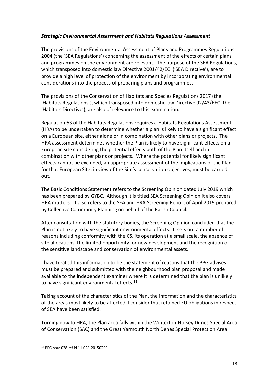### *Strategic Environmental Assessment and Habitats Regulations Assessment*

The provisions of the Environmental Assessment of Plans and Programmes Regulations 2004 (the 'SEA Regulations') concerning the assessment of the effects of certain plans and programmes on the environment are relevant. The purpose of the SEA Regulations, which transposed into domestic law Directive 2001/42/EC ('SEA Directive'), are to provide a high level of protection of the environment by incorporating environmental considerations into the process of preparing plans and programmes.

The provisions of the Conservation of Habitats and Species Regulations 2017 (the 'Habitats Regulations'), which transposed into domestic law Directive 92/43/EEC (the 'Habitats Directive'), are also of relevance to this examination.

Regulation 63 of the Habitats Regulations requires a Habitats Regulations Assessment (HRA) to be undertaken to determine whether a plan is likely to have a significant effect on a European site, either alone or in combination with other plans or projects. The HRA assessment determines whether the Plan is likely to have significant effects on a European site considering the potential effects both of the Plan itself and in combination with other plans or projects. Where the potential for likely significant effects cannot be excluded, an appropriate assessment of the implications of the Plan for that European Site, in view of the Site's conservation objectives, must be carried out.

The Basic Conditions Statement refers to the Screening Opinion dated July 2019 which has been prepared by GYBC. Although it is titled SEA Screening Opinion it also covers HRA matters. It also refers to the SEA and HRA Screening Report of April 2019 prepared by Collective Community Planning on behalf of the Parish Council.

After consultation with the statutory bodies, the Screening Opinion concluded that the Plan is not likely to have significant environmental effects. It sets out a number of reasons including conformity with the CS, its operation at a small scale, the absence of site allocations, the limited opportunity for new development and the recognition of the sensitive landscape and conservation of environmental assets.

I have treated this information to be the statement of reasons that the PPG advises must be prepared and submitted with the neighbourhood plan proposal and made available to the independent examiner where it is determined that the plan is unlikely to have significant environmental effects.<sup>[31](#page-12-0)</sup>

Taking account of the characteristics of the Plan, the information and the characteristics of the areas most likely to be affected, I consider that retained EU obligations in respect of SEA have been satisfied.

Turning now to HRA, the Plan area falls within the Winterton-Horsey Dunes Special Area of Conservation (SAC) and the Great Yarmouth North Denes Special Protection Area

<span id="page-12-0"></span><sup>31</sup> PPG para 028 ref id 11-028-20150209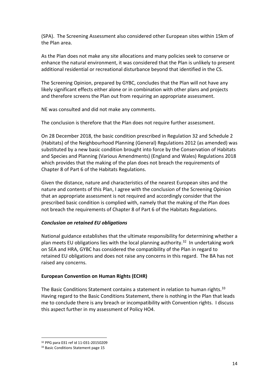(SPA). The Screening Assessment also considered other European sites within 15km of the Plan area.

As the Plan does not make any site allocations and many policies seek to conserve or enhance the natural environment, it was considered that the Plan is unlikely to present additional residential or recreational disturbance beyond that identified in the CS.

The Screening Opinion, prepared by GYBC, concludes that the Plan will not have any likely significant effects either alone or in combination with other plans and projects and therefore screens the Plan out from requiring an appropriate assessment.

NE was consulted and did not make any comments.

The conclusion is therefore that the Plan does not require further assessment.

On 28 December 2018, the basic condition prescribed in Regulation 32 and Schedule 2 (Habitats) of the Neighbourhood Planning (General) Regulations 2012 (as amended) was substituted by a new basic condition brought into force by the Conservation of Habitats and Species and Planning (Various Amendments) (England and Wales) Regulations 2018 which provides that the making of the plan does not breach the requirements of Chapter 8 of Part 6 of the Habitats Regulations.

Given the distance, nature and characteristics of the nearest European sites and the nature and contents of this Plan, I agree with the conclusion of the Screening Opinion that an appropriate assessment is not required and accordingly consider that the prescribed basic condition is complied with, namely that the making of the Plan does not breach the requirements of Chapter 8 of Part 6 of the Habitats Regulations.

#### *Conclusion on retained EU obligations*

National guidance establishes that the ultimate responsibility for determining whether a plan meets EU obligations lies with the local planning authority.<sup>[32](#page-13-0)</sup> In undertaking work on SEA and HRA, GYBC has considered the compatibility of the Plan in regard to retained EU obligations and does not raise any concerns in this regard. The BA has not raised any concerns.

#### **European Convention on Human Rights (ECHR)**

The Basic Conditions Statement contains a statement in relation to human rights.<sup>[33](#page-13-1)</sup> Having regard to the Basic Conditions Statement, there is nothing in the Plan that leads me to conclude there is any breach or incompatibility with Convention rights. I discuss this aspect further in my assessment of Policy HO4.

<span id="page-13-1"></span><span id="page-13-0"></span><sup>&</sup>lt;sup>32</sup> PPG para 031 ref id 11-031-20150209<br><sup>33</sup> Basic Conditions Statement page 15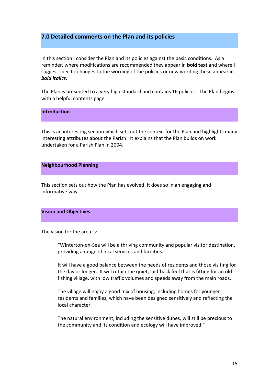## **7.0 Detailed comments on the Plan and its policies**

In this section I consider the Plan and its policies against the basic conditions. As a reminder, where modifications are recommended they appear in **bold text** and where I suggest specific changes to the wording of the policies or new wording these appear in *bold italics*.

The Plan is presented to a very high standard and contains 16 policies. The Plan begins with a helpful contents page.

**Introduction** 

This is an interesting section which sets out the context for the Plan and highlights many interesting attributes about the Parish. It explains that the Plan builds on work undertaken for a Parish Plan in 2004.

#### **Neighbourhood Planning**

This section sets out how the Plan has evolved; it does so in an engaging and informative way.

#### **Vision and Objectives**

The vision for the area is:

"Winterton-on-Sea will be a thriving community and popular visitor destination, providing a range of local services and facilities.

It will have a good balance between the needs of residents and those visiting for the day or longer. It will retain the quiet, laid-back feel that is fitting for an old fishing village, with low traffic volumes and speeds away from the main roads.

The village will enjoy a good mix of housing, including homes for younger residents and families, which have been designed sensitively and reflecting the local character.

The natural environment, including the sensitive dunes, will still be precious to the community and its condition and ecology will have improved."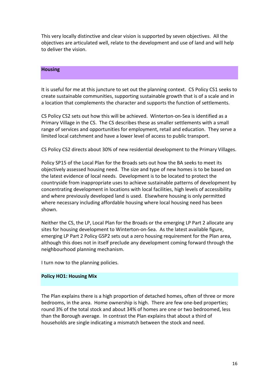This very locally distinctive and clear vision is supported by seven objectives. All the objectives are articulated well, relate to the development and use of land and will help to deliver the vision.

#### **Housing**

It is useful for me at this juncture to set out the planning context. CS Policy CS1 seeks to create sustainable communities, supporting sustainable growth that is of a scale and in a location that complements the character and supports the function of settlements.

CS Policy CS2 sets out how this will be achieved. Winterton-on-Sea is identified as a Primary Village in the CS. The CS describes these as smaller settlements with a small range of services and opportunities for employment, retail and education. They serve a limited local catchment and have a lower level of access to public transport.

CS Policy CS2 directs about 30% of new residential development to the Primary Villages.

Policy SP15 of the Local Plan for the Broads sets out how the BA seeks to meet its objectively assessed housing need. The size and type of new homes is to be based on the latest evidence of local needs. Development is to be located to protect the countryside from inappropriate uses to achieve sustainable patterns of development by concentrating development in locations with local facilities, high levels of accessibility and where previously developed land is used. Elsewhere housing is only permitted where necessary including affordable housing where local housing need has been shown.

Neither the CS, the LP, Local Plan for the Broads or the emerging LP Part 2 allocate any sites for housing development to Winterton-on-Sea. As the latest available figure, emerging LP Part 2 Policy GSP2 sets out a zero housing requirement for the Plan area, although this does not in itself preclude any development coming forward through the neighbourhood planning mechanism.

I turn now to the planning policies.

#### **Policy HO1: Housing Mix**

The Plan explains there is a high proportion of detached homes, often of three or more bedrooms, in the area. Home ownership is high. There are few one-bed properties; round 3% of the total stock and about 34% of homes are one or two bedroomed, less than the Borough average. In contrast the Plan explains that about a third of households are single indicating a mismatch between the stock and need.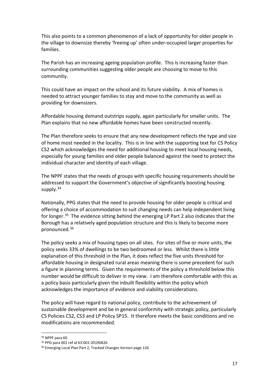This also points to a common phenomenon of a lack of opportunity for older people in the village to downsize thereby 'freeing up' often under-occupied larger properties for families.

The Parish has an increasing ageing population profile. This is increasing faster than surrounding communities suggesting older people are choosing to move to this community.

This could have an impact on the school and its future viability. A mix of homes is needed to attract younger families to stay and move to the community as well as providing for downsizers.

Affordable housing demand outstrips supply, again particularly for smaller units. The Plan explains that no new affordable homes have been constructed recently.

The Plan therefore seeks to ensure that any new development reflects the type and size of home most needed in the locality. This is in line with the supporting text for CS Policy CS2 which acknowledges the need for additional housing to meet local housing needs, especially for young families and older people balanced against the need to protect the individual character and identity of each village.

The NPPF states that the needs of groups with specific housing requirements should be addressed to support the Government's objective of significantly boosting housing supply.<sup>[34](#page-16-0)</sup>

Nationally, PPG states that the need to provide housing for older people is critical and offering a choice of accommodation to suit changing needs can help independent living for longer.<sup>[35](#page-16-1)</sup> The evidence sitting behind the emerging LP Part 2 also indicates that the Borough has a relatively aged population structure and this is likely to become more pronounced.<sup>36</sup>

The policy seeks a mix of housing types on all sites. For sites of five or more units, the policy seeks 33% of dwellings to be two bedroomed or less. Whilst there is little explanation of this threshold in the Plan, it does reflect the five units threshold for affordable housing in designated rural areas meaning there is some precedent for such a figure in planning terms. Given the requirements of the policy a threshold below this number would be difficult to deliver in my view. I am therefore comfortable with this as a policy basis particularly given the inbuilt flexibility within the policy which acknowledges the importance of evidence and viability considerations.

The policy will have regard to national policy, contribute to the achievement of sustainable development and be in general conformity with strategic policy, particularly CS Policies CS2, CS3 and LP Policy SP15. It therefore meets the basic conditions and no modifications are recommended.

<span id="page-16-1"></span><span id="page-16-0"></span><sup>&</sup>lt;sup>34</sup> NPPF para 60<br><sup>35</sup> PPG para 001 ref id 63-001-20190626

<span id="page-16-2"></span><sup>&</sup>lt;sup>36</sup> Emerging Local Plan Part 2, Tracked Changes Version page 126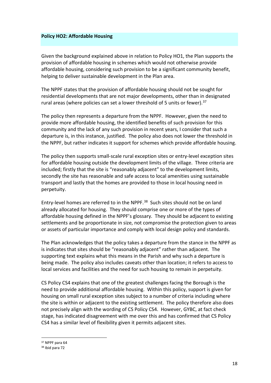#### **Policy HO2: Affordable Housing**

Given the background explained above in relation to Policy HO1, the Plan supports the provision of affordable housing in schemes which would not otherwise provide affordable housing, considering such provision to be a significant community benefit, helping to deliver sustainable development in the Plan area.

The NPPF states that the provision of affordable housing should not be sought for residential developments that are not major developments, other than in designated rural areas (where policies can set a lower threshold of 5 units or fewer).<sup>[37](#page-17-0)</sup>

The policy then represents a departure from the NPPF. However, given the need to provide more affordable housing, the identified benefits of such provision for this community and the lack of any such provision in recent years, I consider that such a departure is, in this instance, justified. The policy also does not lower the threshold in the NPPF, but rather indicates it support for schemes which provide affordable housing.

The policy then supports small-scale rural exception sites or entry-level exception sites for affordable housing outside the development limits of the village. Three criteria are included; firstly that the site is "reasonably adjacent" to the development limits, secondly the site has reasonable and safe access to local amenities using sustainable transport and lastly that the homes are provided to those in local housing need in perpetuity.

Entry-level homes are referred to in the NPPF.<sup>[38](#page-17-1)</sup> Such sites should not be on land already allocated for housing. They should comprise one or more of the types of affordable housing defined in the NPPF's glossary. They should be adjacent to existing settlements and be proportionate in size, not compromise the protection given to areas or assets of particular importance and comply with local design policy and standards.

The Plan acknowledges that the policy takes a departure from the stance in the NPPF as is indicates that sites should be "reasonably adjacent" rather than adjacent. The supporting text explains what this means in the Parish and why such a departure is being made. The policy also includes caveats other than location; it refers to access to local services and facilities and the need for such housing to remain in perpetuity.

CS Policy CS4 explains that one of the greatest challenges facing the Borough is the need to provide additional affordable housing. Within this policy, support is given for housing on small rural exception sites subject to a number of criteria including where the site is within or adjacent to the existing settlement. The policy therefore also does not precisely align with the wording of CS Policy CS4. However, GYBC, at fact check stage, has indicated disagreement with me over this and has confirmed that CS Policy CS4 has a similar level of flexibility given it permits adjacent sites.

<span id="page-17-0"></span><sup>37</sup> NPPF para 64

<span id="page-17-1"></span><sup>38</sup> Ibid para 72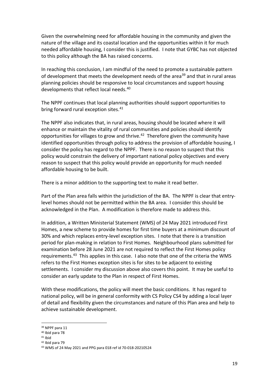Given the overwhelming need for affordable housing in the community and given the nature of the village and its coastal location and the opportunities within it for much needed affordable housing, I consider this is justified. I note that GYBC has not objected to this policy although the BA has raised concerns.

In reaching this conclusion, I am mindful of the need to promote a sustainable pattern of development that meets the development needs of the area<sup>[39](#page-18-0)</sup> and that in rural areas planning policies should be responsive to local circumstances and support housing developments that reflect local needs.[40](#page-18-1) 

The NPPF continues that local planning authorities should support opportunities to bring forward rural exception sites.<sup>41</sup>

The NPPF also indicates that, in rural areas, housing should be located where it will enhance or maintain the vitality of rural communities and policies should identify opportunities for villages to grow and thrive.<sup>[42](#page-18-3)</sup> Therefore given the community have identified opportunities through policy to address the provision of affordable housing, I consider the policy has regard to the NPPF. There is no reason to suspect that this policy would constrain the delivery of important national policy objectives and every reason to suspect that this policy would provide an opportunity for much needed affordable housing to be built.

There is a minor addition to the supporting text to make it read better.

Part of the Plan area falls within the jurisdiction of the BA. The NPPF is clear that entrylevel homes should not be permitted within the BA area. I consider this should be acknowledged in the Plan. A modification is therefore made to address this.

In addition, a Written Ministerial Statement (WMS) of 24 May 2021 introduced First Homes, a new scheme to provide homes for first time buyers at a minimum discount of 30% and which replaces entry-level exception sites. I note that there is a transition period for plan-making in relation to First Homes. Neighbourhood plans submitted for examination before 28 June 2021 are not required to reflect the First Homes policy requirements.<sup>43</sup> This applies in this case. I also note that one of the criteria the WMS refers to the First Homes exception sites is for sites to be adjacent to existing settlements. I consider my discussion above also covers this point. It may be useful to consider an early update to the Plan in respect of First Homes.

With these modifications, the policy will meet the basic conditions. It has regard to national policy, will be in general conformity with CS Policy CS4 by adding a local layer of detail and flexibility given the circumstances and nature of this Plan area and help to achieve sustainable development.

<sup>42</sup> Ibid para 79

<span id="page-18-0"></span><sup>39</sup> NPPF para 11

<sup>40</sup> Ibid para 78

<span id="page-18-3"></span><span id="page-18-2"></span><span id="page-18-1"></span><sup>41</sup> Ibid

<span id="page-18-4"></span><sup>43</sup> WMS of 24 May 2021 and PPG para 018 ref id 70-018-20210524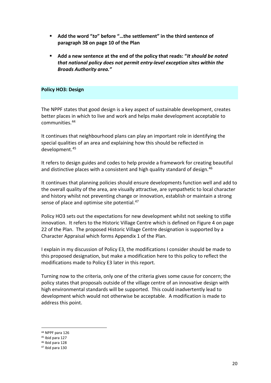- **Add the word "***to***" before "…the settlement" in the third sentence of paragraph 38 on page 10 of the Plan**
- **Add a new sentence at the end of the policy that reads: "***It should be noted that national policy does not permit entry-level exception sites within the Broads Authority area."*

#### **Policy HO3: Design**

The NPPF states that good design is a key aspect of sustainable development, creates better places in which to live and work and helps make development acceptable to communities.[44](#page-19-0) 

It continues that neighbourhood plans can play an important role in identifying the special qualities of an area and explaining how this should be reflected in development.[45](#page-19-1)

It refers to design guides and codes to help provide a framework for creating beautiful and distinctive places with a consistent and high quality standard of design. [46](#page-19-2) 

It continues that planning policies should ensure developments function well and add to the overall quality of the area, are visually attractive, are sympathetic to local character and history whilst not preventing change or innovation, establish or maintain a strong sense of place and optimise site potential.<sup>47</sup>

Policy HO3 sets out the expectations for new development whilst not seeking to stifle innovation. It refers to the Historic Village Centre which is defined on Figure 4 on page 22 of the Plan. The proposed Historic Village Centre designation is supported by a Character Appraisal which forms Appendix 1 of the Plan.

I explain in my discussion of Policy E3, the modifications I consider should be made to this proposed designation, but make a modification here to this policy to reflect the modifications made to Policy E3 later in this report.

Turning now to the criteria, only one of the criteria gives some cause for concern; the policy states that proposals outside of the village centre of an innovative design with high environmental standards will be supported. This could inadvertently lead to development which would not otherwise be acceptable. A modification is made to address this point.

<span id="page-19-0"></span><sup>44</sup> NPPF para 126

<span id="page-19-1"></span><sup>45</sup> Ibid para 127

<span id="page-19-2"></span><sup>46</sup> Ibid para 128

<span id="page-19-3"></span><sup>47</sup> Ibid para 130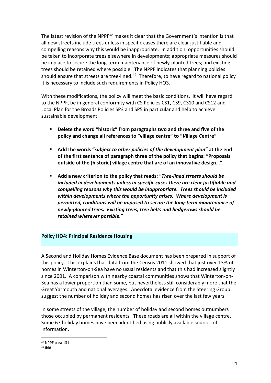The latest revision of the NPPF<sup>[48](#page-20-0)</sup> makes it clear that the Government's intention is that all new streets include trees unless in specific cases there are clear justifiable and compelling reasons why this would be inappropriate. In addition, opportunities should be taken to incorporate trees elsewhere in developments; appropriate measures should be in place to secure the long-term maintenance of newly-planted trees; and existing trees should be retained where possible. The NPPF indicates that planning policies should ensure that streets are tree-lined.<sup>49</sup> Therefore, to have regard to national policy it is necessary to include such requirements in Policy HO3.

With these modifications, the policy will meet the basic conditions. It will have regard to the NPPF, be in general conformity with CS Policies CS1, CS9, CS10 and CS12 and Local Plan for the Broads Policies SP3 and SP5 in particular and help to achieve sustainable development.

- **Delete the word "historic" from paragraphs two and three and five of the policy and change all references to "village centre" to "***V***illage** *C***entre"**
- **Add the words "***subject to other policies of the development plan"* **at the end of the first sentence of paragraph three of the policy that begins: "Proposals outside of the [historic] village centre that are of an innovative design…"**
- **Add a new criterion to the policy that reads: "***Tree-lined streets should be included in developments unless in specific cases there are clear justifiable and compelling reasons why this would be inappropriate. Trees should be included within developments where the opportunity arises. Where development is permitted, conditions will be imposed to secure the long-term maintenance of newly-planted trees. Existing trees, tree belts and hedgerows should be retained wherever possible***."**

#### **Policy HO4: Principal Residence Housing**

A Second and Holiday Homes Evidence Base document has been prepared in support of this policy. This explains that data from the Census 2011 showed that just over 13% of homes in Winterton-on-Sea have no usual residents and that this had increased slightly since 2001. A comparison with nearby coastal communities shows that Winterton-on-Sea has a lower proportion than some, but nevertheless still considerably more that the Great Yarmouth and national averages. Anecdotal evidence from the Steering Group suggest the number of holiday and second homes has risen over the last few years.

In some streets of the village, the number of holiday and second homes outnumbers those occupied by permanent residents. These roads are all within the village centre. Some 67 holiday homes have been identified using publicly available sources of information.

<span id="page-20-1"></span><span id="page-20-0"></span><sup>48</sup> NPPF para 131

<sup>49</sup> Ibid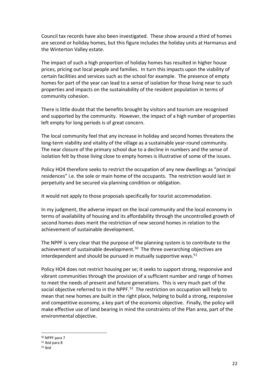Council tax records have also been investigated. These show around a third of homes are second or holiday homes, but this figure includes the holiday units at Harmanus and the Winterton Valley estate.

The impact of such a high proportion of holiday homes has resulted in higher house prices, pricing out local people and families. In turn this impacts upon the viability of certain facilities and services such as the school for example. The presence of empty homes for part of the year can lead to a sense of isolation for those living near to such properties and impacts on the sustainability of the resident population in terms of community cohesion.

There is little doubt that the benefits brought by visitors and tourism are recognised and supported by the community. However, the impact of a high number of properties left empty for long periods is of great concern.

The local community feel that any increase in holiday and second homes threatens the long-term viability and vitality of the village as a sustainable year-round community. The near closure of the primary school due to a decline in numbers and the sense of isolation felt by those living close to empty homes is illustrative of some of the issues.

Policy HO4 therefore seeks to restrict the occupation of any new dwellings as "principal residences" i.e. the sole or main home of the occupants. The restriction would last in perpetuity and be secured via planning condition or obligation.

It would not apply to those proposals specifically for tourist accommodation.

In my judgment, the adverse impact on the local community and the local economy in terms of availability of housing and its affordability through the uncontrolled growth of second homes does merit the restriction of new second homes in relation to the achievement of sustainable development.

The NPPF is very clear that the purpose of the planning system is to contribute to the achievement of sustainable development.<sup>50</sup> The three overarching objectives are interdependent and should be pursued in mutually supportive ways.<sup>51</sup>

Policy HO4 does not restrict housing per se; it seeks to support strong, responsive and vibrant communities through the provision of a sufficient number and range of homes to meet the needs of present and future generations. This is very much part of the social objective referred to in the NPPF.<sup>52</sup> The restriction on occupation will help to mean that new homes are built in the right place, helping to build a strong, responsive and competitive economy, a key part of the economic objective. Finally, the policy will make effective use of land bearing in mind the constraints of the Plan area, part of the environmental objective.

<span id="page-21-0"></span><sup>50</sup> NPPF para 7

<span id="page-21-1"></span><sup>51</sup> Ibid para 8

<span id="page-21-2"></span><sup>52</sup> Ibid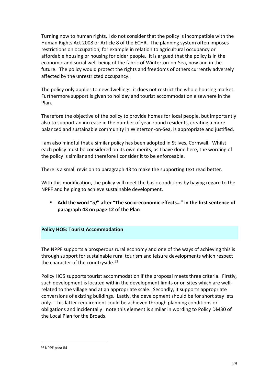Turning now to human rights, I do not consider that the policy is incompatible with the Human Rights Act 2008 or Article 8 of the ECHR. The planning system often imposes restrictions on occupation, for example in relation to agricultural occupancy or affordable housing or housing for older people. It is argued that the policy is in the economic and social well-being of the fabric of Winterton-on-Sea, now and in the future. The policy would protect the rights and freedoms of others currently adversely affected by the unrestricted occupancy.

The policy only applies to new dwellings; it does not restrict the whole housing market. Furthermore support is given to holiday and tourist accommodation elsewhere in the Plan.

Therefore the objective of the policy to provide homes for local people, but importantly also to support an increase in the number of year-round residents, creating a more balanced and sustainable community in Winterton-on-Sea, is appropriate and justified.

I am also mindful that a similar policy has been adopted in St Ives, Cornwall. Whilst each policy must be considered on its own merits, as I have done here, the wording of the policy is similar and therefore I consider it to be enforceable.

There is a small revision to paragraph 43 to make the supporting text read better.

With this modification, the policy will meet the basic conditions by having regard to the NPPF and helping to achieve sustainable development.

 **Add the word "***of***" after "The socio-economic effects…" in the first sentence of paragraph 43 on page 12 of the Plan**

#### **Policy HO5: Tourist Accommodation**

The NPPF supports a prosperous rural economy and one of the ways of achieving this is through support for sustainable rural tourism and leisure developments which respect the character of the countryside. $53$ 

Policy HO5 supports tourist accommodation if the proposal meets three criteria. Firstly, such development is located within the development limits or on sites which are wellrelated to the village and at an appropriate scale. Secondly, it supports appropriate conversions of existing buildings. Lastly, the development should be for short stay lets only. This latter requirement could be achieved through planning conditions or obligations and incidentally I note this element is similar in wording to Policy DM30 of the Local Plan for the Broads.

<span id="page-22-0"></span><sup>53</sup> NPPF para 84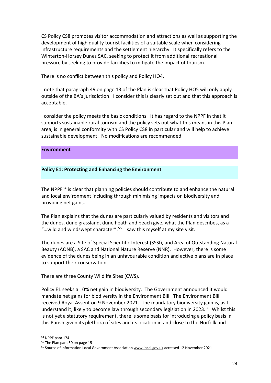CS Policy CS8 promotes visitor accommodation and attractions as well as supporting the development of high quality tourist facilities of a suitable scale when considering infrastructure requirements and the settlement hierarchy. It specifically refers to the Winterton-Horsey Dunes SAC, seeking to protect it from additional recreational pressure by seeking to provide facilities to mitigate the impact of tourism.

There is no conflict between this policy and Policy HO4.

I note that paragraph 49 on page 13 of the Plan is clear that Policy HO5 will only apply outside of the BA's jurisdiction. I consider this is clearly set out and that this approach is acceptable.

I consider the policy meets the basic conditions. It has regard to the NPPF in that it supports sustainable rural tourism and the policy sets out what this means in this Plan area, is in general conformity with CS Policy CS8 in particular and will help to achieve sustainable development. No modifications are recommended.

#### **Environment**

#### **Policy E1: Protecting and Enhancing the Environment**

The NPPF[54](#page-23-0) is clear that planning policies should contribute to and enhance the natural and local environment including through minimising impacts on biodiversity and providing net gains.

The Plan explains that the dunes are particularly valued by residents and visitors and the dunes, dune grassland, dune heath and beach give, what the Plan describes, as a "...wild and windswept character".<sup>[55](#page-23-1)</sup> I saw this myself at my site visit.

The dunes are a Site of Special Scientific Interest (SSSI), and Area of Outstanding Natural Beauty (AONB), a SAC and National Nature Reserve (NNR). However, there is some evidence of the dunes being in an unfavourable condition and active plans are in place to support their conservation.

There are three County Wildlife Sites (CWS).

Policy E1 seeks a 10% net gain in biodiversity. The Government announced it would mandate net gains for biodiversity in the Environment Bill. The Environment Bill received Royal Assent on 9 November 2021. The mandatory biodiversity gain is, as I understand it, likely to become law through secondary legislation in 2023.<sup>[56](#page-23-2)</sup> Whilst this is not yet a statutory requirement, there is some basis for introducing a policy basis in this Parish given its plethora of sites and its location in and close to the Norfolk and

<span id="page-23-0"></span><sup>54</sup> NPPF para 174

<span id="page-23-1"></span><sup>55</sup> The Plan para 50 on page 15

<span id="page-23-2"></span><sup>&</sup>lt;sup>56</sup> Source of information Local Government Associatio[n www.local.gov.uk](http://www.local.gov.uk/) accessed 12 November 2021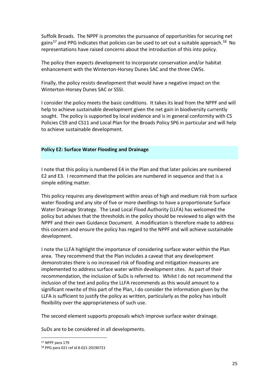Suffolk Broads. The NPPF is promotes the pursuance of opportunities for securing net gains<sup>[57](#page-24-0)</sup> and PPG indicates that policies can be used to set out a suitable approach.<sup>58</sup> No representations have raised concerns about the introduction of this into policy.

The policy then expects development to incorporate conservation and/or habitat enhancement with the Winterton-Horsey Dunes SAC and the three CWSs.

Finally, the policy resists development that would have a negative impact on the Winterton-Horsey Dunes SAC or SSSI.

I consider the policy meets the basic conditions. It takes its lead from the NPPF and will help to achieve sustainable development given the net gain in biodiversity currently sought. The policy is supported by local evidence and is in general conformity with CS Policies CS9 and CS11 and Local Plan for the Broads Policy SP6 in particular and will help to achieve sustainable development.

#### **Policy E2: Surface Water Flooding and Drainage**

I note that this policy is numbered E4 in the Plan and that later policies are numbered E2 and E3. I recommend that the policies are numbered in sequence and that is a simple editing matter.

This policy requires any development within areas of high and medium risk from surface water flooding and any site of five or more dwellings to have a proportionate Surface Water Drainage Strategy. The Lead Local Flood Authority (LLFA) has welcomed the policy but advises that the thresholds in the policy should be reviewed to align with the NPPF and their own Guidance Document. A modification is therefore made to address this concern and ensure the policy has regard to the NPPF and will achieve sustainable development.

I note the LLFA highlight the importance of considering surface water within the Plan area. They recommend that the Plan includes a caveat that any development demonstrates there is no increased risk of flooding and mitigation measures are implemented to address surface water within development sites. As part of their recommendation, the inclusion of SuDs is referred to. Whilst I do not recommend the inclusion of the text and policy the LLFA recommends as this would amount to a significant rewrite of this part of the Plan, I do consider the information given by the LLFA is sufficient to justify the policy as written, particularly as the policy has inbuilt flexibility over the appropriateness of such use.

The second element supports proposals which improve surface water drainage.

SuDs are to be considered in all developments.

<span id="page-24-0"></span><sup>57</sup> NPPF para 179

<span id="page-24-1"></span><sup>58</sup> PPG para 021 ref id 8-021-20190721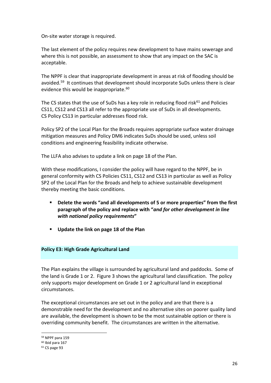On-site water storage is required.

The last element of the policy requires new development to have mains sewerage and where this is not possible, an assessment to show that any impact on the SAC is acceptable.

The NPPF is clear that inappropriate development in areas at risk of flooding should be avoided.<sup>[59](#page-25-0)</sup> It continues that development should incorporate SuDs unless there is clear evidence this would be inappropriate.<sup>[60](#page-25-1)</sup>

The CS states that the use of SuDs has a key role in reducing flood risk $61$  and Policies CS11, CS12 and CS13 all refer to the appropriate use of SuDs in all developments. CS Policy CS13 in particular addresses flood risk.

Policy SP2 of the Local Plan for the Broads requires appropriate surface water drainage mitigation measures and Policy DM6 indicates SuDs should be used, unless soil conditions and engineering feasibility indicate otherwise.

The LLFA also advises to update a link on page 18 of the Plan.

With these modifications, I consider the policy will have regard to the NPPF, be in general conformity with CS Policies CS11, CS12 and CS13 in particular as well as Policy SP2 of the Local Plan for the Broads and help to achieve sustainable development thereby meeting the basic conditions.

- **Delete the words "and all developments of 5 or more properties" from the first paragraph of the policy and replace with "***and for other development in line with national policy requirements***"**
- **Update the link on page 18 of the Plan**

#### **Policy E3: High Grade Agricultural Land**

The Plan explains the village is surrounded by agricultural land and paddocks. Some of the land is Grade 1 or 2. Figure 3 shows the agricultural land classification. The policy only supports major development on Grade 1 or 2 agricultural land in exceptional circumstances.

The exceptional circumstances are set out in the policy and are that there is a demonstrable need for the development and no alternative sites on poorer quality land are available, the development is shown to be the most sustainable option or there is overriding community benefit. The circumstances are written in the alternative.

<span id="page-25-0"></span><sup>59</sup> NPPF para 159

<sup>60</sup> Ibid para 167

<span id="page-25-2"></span><span id="page-25-1"></span><sup>61</sup> CS page 93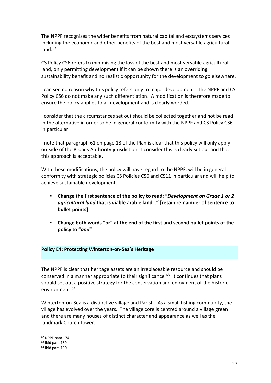The NPPF recognises the wider benefits from natural capital and ecosystems services including the economic and other benefits of the best and most versatile agricultural land. $62$ 

CS Policy CS6 refers to minimising the loss of the best and most versatile agricultural land, only permitting development if it can be shown there is an overriding sustainability benefit and no realistic opportunity for the development to go elsewhere.

I can see no reason why this policy refers only to major development. The NPPF and CS Policy CS6 do not make any such differentiation. A modification is therefore made to ensure the policy applies to all development and is clearly worded.

I consider that the circumstances set out should be collected together and not be read in the alternative in order to be in general conformity with the NPPF and CS Policy CS6 in particular.

I note that paragraph 61 on page 18 of the Plan is clear that this policy will only apply outside of the Broads Authority jurisdiction. I consider this is clearly set out and that this approach is acceptable.

With these modifications, the policy will have regard to the NPPF, will be in general conformity with strategic policies CS Policies CS6 and CS11 in particular and will help to achieve sustainable development.

- **Change the first sentence of the policy to read: "***Development on Grade 1 or 2 agricultural land* **that is viable arable land***…***" [retain remainder of sentence to bullet points]**
- **Change both words "or" at the end of the first and second bullet points of the policy to "***and***"**

#### **Policy E4: Protecting Winterton-on-Sea's Heritage**

The NPPF is clear that heritage assets are an irreplaceable resource and should be conserved in a manner appropriate to their significance. $^{63}$  It continues that plans should set out a positive strategy for the conservation and enjoyment of the historic environment.<sup>[64](#page-26-2)</sup>

Winterton-on-Sea is a distinctive village and Parish. As a small fishing community, the village has evolved over the years. The village core is centred around a village green and there are many houses of distinct character and appearance as well as the landmark Church tower.

<span id="page-26-0"></span><sup>62</sup> NPPF para 174

<span id="page-26-1"></span><sup>63</sup> Ibid para 189

<span id="page-26-2"></span><sup>64</sup> Ibid para 190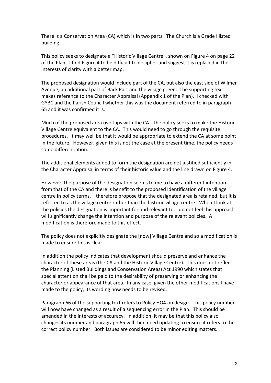There is a Conservation Area (CA) which is in two parts. The Church is a Grade I listed building.

This policy seeks to designate a "Historic Village Centre", shown on Figure 4 on page 22 of the Plan. I find Figure 4 to be difficult to decipher and suggest it is replaced in the interests of clarity with a better map.

The proposed designation would include part of the CA, but also the east side of Wilmer Avenue, an additional part of Back Part and the village green. The supporting text makes reference to the Character Appraisal (Appendix 1 of the Plan). I checked with GYBC and the Parish Council whether this was the document referred to in paragraph 65 and it was confirmed it is.

Much of the proposed area overlaps with the CA. The policy seeks to make the Historic Village Centre equivalent to the CA. This would need to go through the requisite procedures. It may well be that it would be appropriate to extend the CA at some point in the future. However, given this is not the case at the present time, the policy needs some differentiation.

The additional elements added to form the designation are not justified sufficiently in the Character Appraisal in terms of their historic value and the line drawn on Figure 4.

However, the purpose of the designation seems to me to have a different intention from that of the CA and there is benefit to the proposed identification of the village centre in policy terms. I therefore propose that the designated area is retained, but it is referred to as the village centre rather than the historic village centre. When I look at the policies the designation is important for and relevant to, I do not feel this approach will significantly change the intention and purpose of the relevant policies. A modification is therefore made to this effect.

The policy does not explicitly designate the [now] Village Centre and so a modification is made to ensure this is clear.

In addition the policy indicates that development should preserve and enhance the character of these areas (the CA and the Historic Village Centre). This does not reflect the Planning (Listed Buildings and Conservation Areas) Act 1990 which states that special attention shall be paid to the desirability of preserving or enhancing the character or appearance of that area. In any case, given the other modifications I have made to the policy, its wording now needs to be revised.

Paragraph 66 of the supporting text refers to Policy HO4 on design. This policy number will now have changed as a result of a sequencing error in the Plan. This should be amended in the interests of accuracy. In addition, it may be that this policy also changes its number and paragraph 65 will then need updating to ensure it refers to the correct policy number. Both issues are considered to be minor editing matters.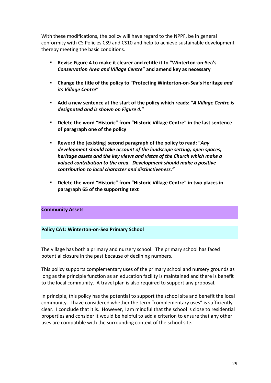With these modifications, the policy will have regard to the NPPF, be in general conformity with CS Policies CS9 and CS10 and help to achieve sustainable development thereby meeting the basic conditions.

- **Revise Figure 4 to make it clearer and retitle it to "Winterton-on-Sea's**  *Conservation Area and Village Centre***" and amend key as necessary**
- **Change the title of the policy to "Protecting Winterton-on-Sea's Heritage** *and its Village Centre***"**
- **Add a new sentence at the start of the policy which reads: "***A Village Centre is designated and is shown on Figure 4.***"**
- **Delete the word "Historic" from "Historic Village Centre" in the last sentence of paragraph one of the policy**
- **Reword the [existing] second paragraph of the policy to read: "***Any development should take account of the landscape setting, open spaces, heritage assets and the key views and vistas of the Church which make a valued contribution to the area. Development should make a positive contribution to local character and distinctiveness."*
- **Delete the word "Historic" from "Historic Village Centre" in two places in paragraph 65 of the supporting text**

#### **Community Assets**

#### **Policy CA1: Winterton-on-Sea Primary School**

The village has both a primary and nursery school. The primary school has faced potential closure in the past because of declining numbers.

This policy supports complementary uses of the primary school and nursery grounds as long as the principle function as an education facility is maintained and there is benefit to the local community. A travel plan is also required to support any proposal.

In principle, this policy has the potential to support the school site and benefit the local community. I have considered whether the term "complementary uses" is sufficiently clear. I conclude that it is. However, I am mindful that the school is close to residential properties and consider it would be helpful to add a criterion to ensure that any other uses are compatible with the surrounding context of the school site.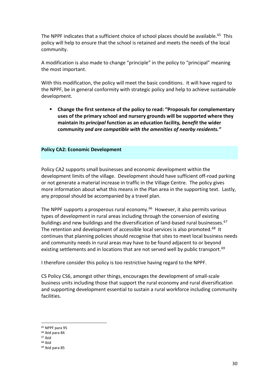The NPPF indicates that a sufficient choice of school places should be available.<sup>[65](#page-29-0)</sup> This policy will help to ensure that the school is retained and meets the needs of the local community.

A modification is also made to change "principle" in the policy to "principal" meaning the most important.

With this modification, the policy will meet the basic conditions. It will have regard to the NPPF, be in general conformity with strategic policy and help to achieve sustainable development.

 **Change the first sentence of the policy to read: "Proposals for complementary uses of the primary school and nursery grounds will be supported where they maintain its** *principal* **function as an education facility***, benefit* **the wider community** *and are compatible with the amenities of nearby residents."*

#### **Policy CA2: Economic Development**

Policy CA2 supports small businesses and economic development within the development limits of the village. Development should have sufficient off-road parking or not generate a material increase in traffic in the Village Centre. The policy gives more information about what this means in the Plan area in the supporting text. Lastly, any proposal should be accompanied by a travel plan.

The NPPF supports a prosperous rural economy.<sup>66</sup> However, it also permits various types of development in rural areas including through the conversion of existing buildings and new buildings and the diversification of land-based rural businesses.<sup>[67](#page-29-2)</sup> The retention and development of accessible local services is also promoted.<sup>[68](#page-29-3)</sup> It continues that planning policies should recognise that sites to meet local business needs and community needs in rural areas may have to be found adjacent to or beyond existing settlements and in locations that are not served well by public transport.<sup>[69](#page-29-4)</sup>

I therefore consider this policy is too restrictive having regard to the NPPF.

CS Policy CS6, amongst other things, encourages the development of small-scale business units including those that support the rural economy and rural diversification and supporting development essential to sustain a rural workforce including community facilities.

- <span id="page-29-1"></span><sup>66</sup> Ibid para 84
- <span id="page-29-2"></span><sup>67</sup> Ibid
- <span id="page-29-3"></span> $68$  Ibid

<span id="page-29-0"></span><sup>65</sup> NPPF para 95

<span id="page-29-4"></span><sup>69</sup> Ibid para 85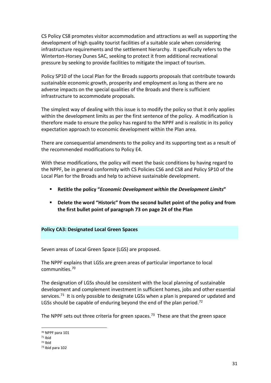CS Policy CS8 promotes visitor accommodation and attractions as well as supporting the development of high quality tourist facilities of a suitable scale when considering infrastructure requirements and the settlement hierarchy. It specifically refers to the Winterton-Horsey Dunes SAC, seeking to protect it from additional recreational pressure by seeking to provide facilities to mitigate the impact of tourism.

Policy SP10 of the Local Plan for the Broads supports proposals that contribute towards sustainable economic growth, prosperity and employment as long as there are no adverse impacts on the special qualities of the Broads and there is sufficient infrastructure to accommodate proposals.

The simplest way of dealing with this issue is to modify the policy so that it only applies within the development limits as per the first sentence of the policy. A modification is therefore made to ensure the policy has regard to the NPPF and is realistic in its policy expectation approach to economic development within the Plan area.

There are consequential amendments to the policy and its supporting text as a result of the recommended modifications to Policy E4.

With these modifications, the policy will meet the basic conditions by having regard to the NPPF, be in general conformity with CS Policies CS6 and CS8 and Policy SP10 of the Local Plan for the Broads and help to achieve sustainable development.

- **Retitle the policy "***Economic Development within the Development Limits***"**
- **Delete the word "Historic" from the second bullet point of the policy and from the first bullet point of paragraph 73 on page 24 of the Plan**

#### **Policy CA3: Designated Local Green Spaces**

Seven areas of Local Green Space (LGS) are proposed.

The NPPF explains that LGSs are green areas of particular importance to local communities.[70](#page-30-0) 

The designation of LGSs should be consistent with the local planning of sustainable development and complement investment in sufficient homes, jobs and other essential services.<sup>[71](#page-30-1)</sup> It is only possible to designate LGSs when a plan is prepared or updated and LGSs should be capable of enduring beyond the end of the plan period.<sup>[72](#page-30-2)</sup>

The NPPF sets out three criteria for green spaces.<sup>73</sup> These are that the green space

<span id="page-30-0"></span><sup>70</sup> NPPF para 101

<span id="page-30-1"></span> $71$  Ihid

<span id="page-30-3"></span><span id="page-30-2"></span><sup>72</sup> Ibid

<sup>73</sup> Ibid para 102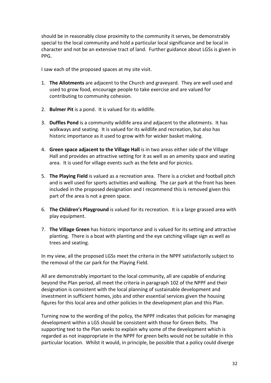should be in reasonably close proximity to the community it serves, be demonstrably special to the local community and hold a particular local significance and be local in character and not be an extensive tract of land. Further guidance about LGSs is given in PPG.

I saw each of the proposed spaces at my site visit.

- 1. **The Allotments** are adjacent to the Church and graveyard. They are well used and used to grow food, encourage people to take exercise and are valued for contributing to community cohesion.
- 2. **Bulmer Pit** is a pond. It is valued for its wildlife.
- 3. **Duffles Pond** is a community wildlife area and adjacent to the allotments. It has walkways and seating. It is valued for its wildlife and recreation, but also has historic importance as it used to grow with for wicker basket making.
- 4. **Green space adjacent to the Village Hall** is in two areas either side of the Village Hall and provides an attractive setting for it as well as an amenity space and seating area. It is used for village events such as the fete and for picnics.
- 5. **The Playing Field** is valued as a recreation area. There is a cricket and football pitch and is well used for sports activities and walking. The car park at the front has been included in the proposed designation and I recommend this is removed given this part of the area is not a green space.
- 6. **The Children's Playground** is valued for its recreation. It is a large grassed area with play equipment.
- 7. **The Village Green** has historic importance and is valued for its setting and attractive planting. There is a boat with planting and the eye catching village sign as well as trees and seating.

In my view, all the proposed LGSs meet the criteria in the NPPF satisfactorily subject to the removal of the car park for the Playing Field.

All are demonstrably important to the local community, all are capable of enduring beyond the Plan period, all meet the criteria in paragraph 102 of the NPPF and their designation is consistent with the local planning of sustainable development and investment in sufficient homes, jobs and other essential services given the housing figures for this local area and other policies in the development plan and this Plan.

Turning now to the wording of the policy, the NPPF indicates that policies for managing development within a LGS should be consistent with those for Green Belts. The supporting text to the Plan seeks to explain why some of the development which is regarded as not inappropriate in the NPPF for green belts would not be suitable in this particular location. Whilst it would, in principle, be possible that a policy could diverge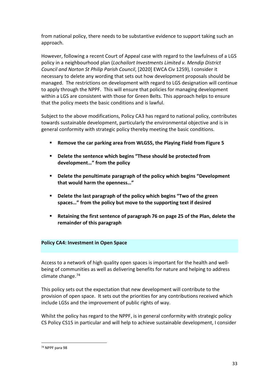from national policy, there needs to be substantive evidence to support taking such an approach.

However, following a recent Court of Appeal case with regard to the lawfulness of a LGS policy in a neighbourhood plan (*Lochailort Investments Limited v. Mendip District Council and Norton St Philip Parish Council*, [2020] EWCA Civ 1259), I consider it necessary to delete any wording that sets out how development proposals should be managed. The restrictions on development with regard to LGS designation will continue to apply through the NPPF. This will ensure that policies for managing development within a LGS are consistent with those for Green Belts. This approach helps to ensure that the policy meets the basic conditions and is lawful.

Subject to the above modifications, Policy CA3 has regard to national policy, contributes towards sustainable development, particularly the environmental objective and is in general conformity with strategic policy thereby meeting the basic conditions.

- **Remove the car parking area from WLGS5, the Playing Field from Figure 5**
- **Delete the sentence which begins "These should be protected from development…" from the policy**
- **Delete the penultimate paragraph of the policy which begins "Development that would harm the openness…"**
- **Delete the last paragraph of the policy which begins "Two of the green spaces…" from the policy but move to the supporting text if desired**
- **Retaining the first sentence of paragraph 76 on page 25 of the Plan, delete the remainder of this paragraph**

#### **Policy CA4: Investment in Open Space**

Access to a network of high quality open spaces is important for the health and wellbeing of communities as well as delivering benefits for nature and helping to address climate change.[74](#page-32-0)

This policy sets out the expectation that new development will contribute to the provision of open space. It sets out the priorities for any contributions received which include LGSs and the improvement of public rights of way.

Whilst the policy has regard to the NPPF, is in general conformity with strategic policy CS Policy CS15 in particular and will help to achieve sustainable development, I consider

<span id="page-32-0"></span><sup>74</sup> NPPF para 98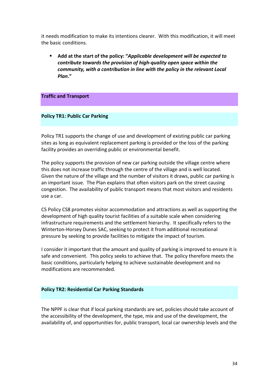it needs modification to make its intentions clearer. With this modification, it will meet the basic conditions.

 **Add at the start of the policy: "***Applicable development will be expected to contribute towards the provision of high-quality open space within the community, with a contribution in line with the policy in the relevant Local Plan***."** 

#### **Traffic and Transport**

#### **Policy TR1: Public Car Parking**

Policy TR1 supports the change of use and development of existing public car parking sites as long as equivalent replacement parking is provided or the loss of the parking facility provides an overriding public or environmental benefit.

The policy supports the provision of new car parking outside the village centre where this does not increase traffic through the centre of the village and is well located. Given the nature of the village and the number of visitors it draws, public car parking is an important issue. The Plan explains that often visitors park on the street causing congestion. The availability of public transport means that most visitors and residents use a car.

CS Policy CS8 promotes visitor accommodation and attractions as well as supporting the development of high quality tourist facilities of a suitable scale when considering infrastructure requirements and the settlement hierarchy. It specifically refers to the Winterton-Horsey Dunes SAC, seeking to protect it from additional recreational pressure by seeking to provide facilities to mitigate the impact of tourism.

I consider it important that the amount and quality of parking is improved to ensure it is safe and convenient. This policy seeks to achieve that. The policy therefore meets the basic conditions, particularly helping to achieve sustainable development and no modifications are recommended.

#### **Policy TR2: Residential Car Parking Standards**

The NPPF is clear that if local parking standards are set, policies should take account of the accessibility of the development, the type, mix and use of the development, the availability of, and opportunities for, public transport, local car ownership levels and the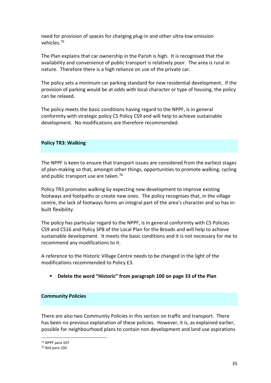need for provision of spaces for charging plug-in and other ultra-low emission vehicles.[75](#page-34-0)

The Plan explains that car ownership in the Parish is high. It is recognised that the availability and convenience of public transport is relatively poor. The area is rural in nature. Therefore there is a high reliance on use of the private car.

The policy sets a minimum car parking standard for new residential development. If the provision of parking would be at odds with local character or type of housing, the policy can be relaxed.

The policy meets the basic conditions having regard to the NPPF, is in general conformity with strategic policy CS Policy CS9 and will help to achieve sustainable development. No modifications are therefore recommended.

#### **Policy TR3: Walking**

The NPPF is keen to ensure that transport issues are considered from the earliest stages of plan-making so that, amongst other things, opportunities to promote walking, cycling and public transport use are taken.<sup>[76](#page-34-1)</sup>

Policy TR3 promotes walking by expecting new development to improve existing footways and footpaths or create new ones. The policy recognises that, in the village centre, the lack of footways forms an integral part of the area's character and so has inbuilt flexibility.

The policy has particular regard to the NPPF, is in general conformity with CS Policies CS9 and CS16 and Policy SP8 of the Local Plan for the Broads and will help to achieve sustainable development. It meets the basic conditions and it is not necessary for me to recommend any modifications to it.

A reference to the Historic Village Centre needs to be changed in the light of the modifications recommended to Policy E3.

**Delete the word "Historic" from paragraph 100 on page 33 of the Plan**

#### **Community Policies**

There are also two Community Policies in this section on traffic and transport. There has been no previous explanation of these policies. However, it is, as explained earlier, possible for neighbourhood plans to contain non development and land use aspirations

<span id="page-34-0"></span><sup>75</sup> NPPF para 107

<span id="page-34-1"></span><sup>76</sup> Ibid para 104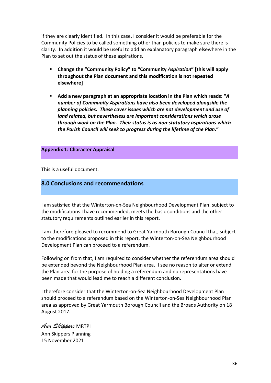if they are clearly identified. In this case, I consider it would be preferable for the Community Policies to be called something other than policies to make sure there is clarity. In addition it would be useful to add an explanatory paragraph elsewhere in the Plan to set out the status of these aspirations.

- **Change the "Community Policy" to "Community** *Aspiration***" [this will apply throughout the Plan document and this modification is not repeated elsewhere]**
- **Add a new paragraph at an appropriate location in the Plan which reads: "***A number of Community Aspirations have also been developed alongside the planning policies. These cover issues which are not development and use of land related, but nevertheless are important considerations which arose through work on the Plan. Their status is as non-statutory aspirations which the Parish Council will seek to progress during the lifetime of the Plan***."**

#### **Appendix 1: Character Appraisal**

This is a useful document.

#### **8.0 Conclusions and recommendations**

I am satisfied that the Winterton-on-Sea Neighbourhood Development Plan, subject to the modifications I have recommended, meets the basic conditions and the other statutory requirements outlined earlier in this report.

I am therefore pleased to recommend to Great Yarmouth Borough Council that, subject to the modifications proposed in this report, the Winterton-on-Sea Neighbourhood Development Plan can proceed to a referendum.

Following on from that, I am required to consider whether the referendum area should be extended beyond the Neighbourhood Plan area. I see no reason to alter or extend the Plan area for the purpose of holding a referendum and no representations have been made that would lead me to reach a different conclusion.

I therefore consider that the Winterton-on-Sea Neighbourhood Development Plan should proceed to a referendum based on the Winterton-on-Sea Neighbourhood Plan area as approved by Great Yarmouth Borough Council and the Broads Authority on 18 August 2017.

*Ann Skippers* MRTPI Ann Skippers Planning 15 November 2021